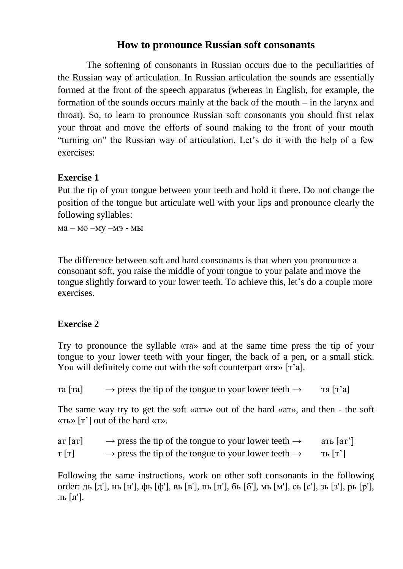## **How to pronounce Russian soft consonants**

The softening of consonants in Russian occurs due to the peculiarities of the Russian way of articulation. In Russian articulation the sounds are essentially formed at the front of the speech apparatus (whereas in English, for example, the formation of the sounds occurs mainly at the back of the mouth – in the larynx and throat). So, to learn to pronounce Russian soft consonants you should first relax your throat and move the efforts of sound making to the front of your mouth "turning on" the Russian way of articulation. Let's do it with the help of a few exercises:

## **Exercise 1**

Put the tip of your tongue between your teeth and hold it there. Do not change the position of the tongue but articulate well with your lips and pronounce clearly the following syllables:

ма – мо –му –мэ - мы

The difference between soft and hard consonants is that when you pronounce a consonant soft, you raise the middle of your tongue to your palate and move the tongue slightly forward to your lower teeth. To achieve this, let's do a couple more exercises.

## **Exercise 2**

Try to pronounce the syllable «та» and at the same time press the tip of your tongue to your lower teeth with your finger, the back of a pen, or a small stick. You will definitely come out with the soft counterpart «тя» [т'а].

 $\text{tr}\left[\text{tr}\right] \rightarrow \text{press}$  the tip of the tongue to your lower teeth  $\rightarrow \text{tr}\left[\text{tr}\right]$ 

The same way try to get the soft «атъ» out of the hard «ат», and then - the soft «ть» [т'] out of the hard «т».

| $ar\left[ a\right]$ | $\rightarrow$ press the tip of the tongue to your lower teeth $\rightarrow$ | ать $\lceil a\tau \rceil$ |
|---------------------|-----------------------------------------------------------------------------|---------------------------|
| T[T]                | $\rightarrow$ press the tip of the tongue to your lower teeth $\rightarrow$ | ТЬ $[T']$                 |

Following the same instructions, work on other soft consonants in the following order: дь [д'], нь [н'], фь [ф'], вь [в'], пь [п'], бь [б'], мь [м'], сь [с'], зь [з'], рь [р'], ль [л'].